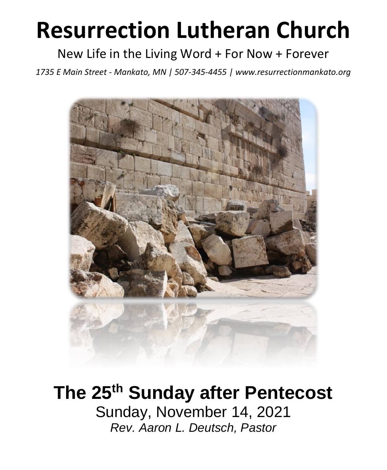# **Resurrection Lutheran Church**

# New Life in the Living Word + For Now + Forever

*1735 E Main Street - Mankato, MN | 507-345-4455 | [www.resurrectionmankato.org](http://www.resurrectionmankato.org/)*



# **The 25th Sunday after Pentecost** Sunday, November 14, 2021

*Rev. Aaron L. Deutsch, Pastor*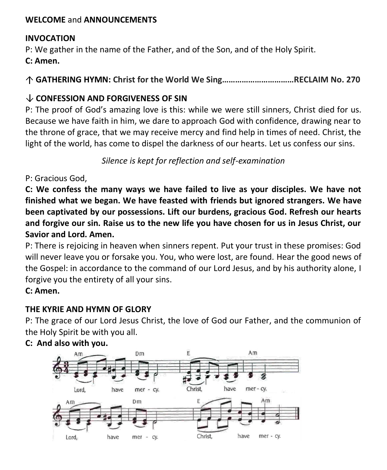#### **WELCOME** and **ANNOUNCEMENTS**

#### **INVOCATION**

P: We gather in the name of the Father, and of the Son, and of the Holy Spirit.

**C: Amen.**

**GATHERING HYMN: Christ for the World We Sing……………………………RECLAIM No. 270**

# **CONFESSION AND FORGIVENESS OF SIN**

P: The proof of God's amazing love is this: while we were still sinners, Christ died for us. Because we have faith in him, we dare to approach God with confidence, drawing near to the throne of grace, that we may receive mercy and find help in times of need. Christ, the light of the world, has come to dispel the darkness of our hearts. Let us confess our sins.

*Silence is kept for reflection and self-examination*

P: Gracious God,

**C: We confess the many ways we have failed to live as your disciples. We have not finished what we began. We have feasted with friends but ignored strangers. We have been captivated by our possessions. Lift our burdens, gracious God. Refresh our hearts and forgive our sin. Raise us to the new life you have chosen for us in Jesus Christ, our Savior and Lord. Amen.**

P: There is rejoicing in heaven when sinners repent. Put your trust in these promises: God will never leave you or forsake you. You, who were lost, are found. Hear the good news of the Gospel: in accordance to the command of our Lord Jesus, and by his authority alone, I forgive you the entirety of all your sins.

**C: Amen.** 

# **THE KYRIE AND HYMN OF GLORY**

P: The grace of our Lord Jesus Christ, the love of God our Father, and the communion of the Holy Spirit be with you all.



#### **C: And also with you.**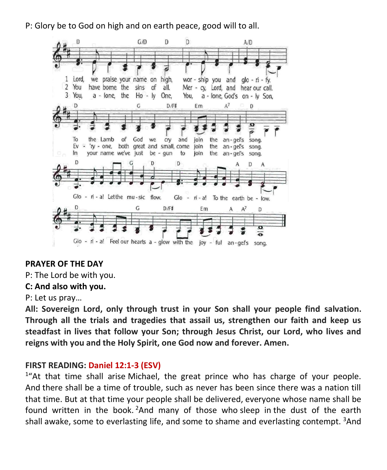P: Glory be to God on high and on earth peace, good will to all.



#### **PRAYER OF THE DAY**

P: The Lord be with you.

#### **C: And also with you.**

P: Let us pray…

**All: Sovereign Lord, only through trust in your Son shall your people find salvation. Through all the trials and tragedies that assail us, strengthen our faith and keep us steadfast in lives that follow your Son; through Jesus Christ, our Lord, who lives and reigns with you and the Holy Spirit, one God now and forever. Amen.**

#### **FIRST READING: Daniel 12:1-3 (ESV)**

<sup>1</sup>"At that time shall arise Michael, the great prince who has charge of your people. And there shall be a time of trouble, such as never has been since there was a nation till that time. But at that time your people shall be delivered, everyone whose name shall be found written in the book.  $2$ And many of those who sleep in the dust of the earth shall awake, some to everlasting life, and some to shame and everlasting contempt.  $3$ And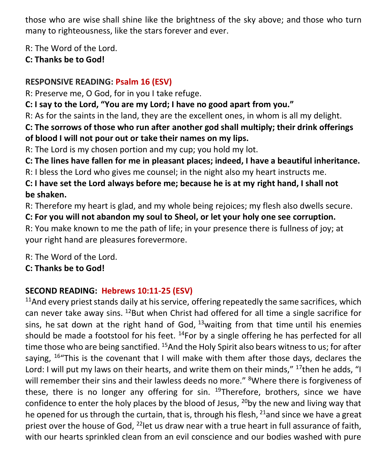those who are wise shall shine like the brightness of the sky above; and those who turn many to righteousness, like the stars forever and ever.

R: The Word of the Lord.

**C: Thanks be to God!** 

# **RESPONSIVE READING: Psalm 16 (ESV)**

R: Preserve me, O God, for in you I take refuge.

**C: I say to the Lord, "You are my Lord; I have no good apart from you."**

R: As for the saints in the land, they are the excellent ones, in whom is all my delight.

**C: The sorrows of those who run after another god shall multiply; their drink offerings of blood I will not pour out or take their names on my lips.**

R: The Lord is my chosen portion and my cup; you hold my lot.

**C: The lines have fallen for me in pleasant places; indeed, I have a beautiful inheritance.**

R: I bless the Lord who gives me counsel; in the night also my heart instructs me.

**C: I have set the Lord always before me; because he is at my right hand, I shall not be shaken.**

R: Therefore my heart is glad, and my whole being rejoices; my flesh also dwells secure.

**C: For you will not abandon my soul to Sheol, or let your holy one see corruption.** R: You make known to me the path of life; in your presence there is fullness of joy; at your right hand are pleasures forevermore.

R: The Word of the Lord.

**C: Thanks be to God!** 

# **SECOND READING: Hebrews 10:11-25 (ESV)**

 $11$ And every priest stands daily at his service, offering repeatedly the same sacrifices, which can never take away sins.  $^{12}$ But when Christ had offered for all time a single sacrifice for sins, he sat down at the right hand of God,  $13$  waiting from that time until his enemies should be made a footstool for his feet.  $^{14}$  For by a single offering he has perfected for all time those who are being sanctified. <sup>15</sup>And the Holy Spirit also bears witness to us; for after saying,  $16$ "This is the covenant that I will make with them after those days, declares the Lord: I will put my laws on their hearts, and write them on their minds," <sup>17</sup>then he adds, "I will remember their sins and their lawless deeds no more." <sup>8</sup>Where there is forgiveness of these, there is no longer any offering for sin.  $19$ Therefore, brothers, since we have confidence to enter the holy places by the blood of Jesus,  $^{20}$ by the new and living way that he opened for us through the curtain, that is, through his flesh,  $21$  and since we have a great priest over the house of God,  $^{22}$  let us draw near with a true heart in full assurance of faith, with our hearts sprinkled clean from an evil conscience and our bodies washed with pure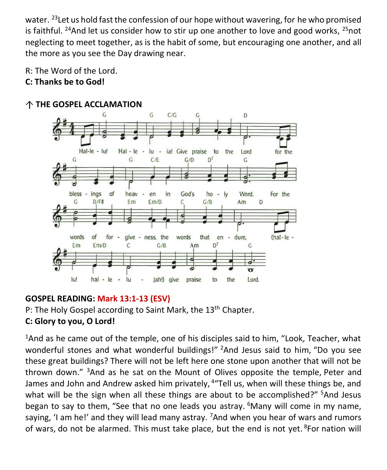water.  $^{23}$  Let us hold fast the confession of our hope without wavering, for he who promised is faithful. <sup>24</sup>And let us consider how to stir up one another to love and good works, <sup>25</sup>not neglecting to meet together, as is the habit of some, but encouraging one another, and all the more as you see the Day drawing near.

- R: The Word of the Lord.
- **C: Thanks be to God!**



### **THE GOSPEL ACCLAMATION**

# **GOSPEL READING: Mark 13:1-13 (ESV)**

P: The Holy Gospel according to Saint Mark, the 13<sup>th</sup> Chapter.

# **C: Glory to you, O Lord!**

<sup>1</sup>And as he came out of the temple, one of his disciples said to him, "Look, Teacher, what wonderful stones and what wonderful buildings!" <sup>2</sup>And Jesus said to him, "Do you see these great buildings? There will not be left here one stone upon another that will not be thrown down." <sup>3</sup>And as he sat on the Mount of Olives opposite the temple, Peter and James and John and Andrew asked him privately, <sup>4</sup> "Tell us, when will these things be, and what will be the sign when all these things are about to be accomplished?" <sup>5</sup>And Jesus began to say to them, "See that no one leads you astray.  $6$ Many will come in my name, saying, 'I am he!' and they will lead many astray.  $7$ And when you hear of wars and rumors of wars, do not be alarmed. This must take place, but the end is not yet. <sup>8</sup>For nation will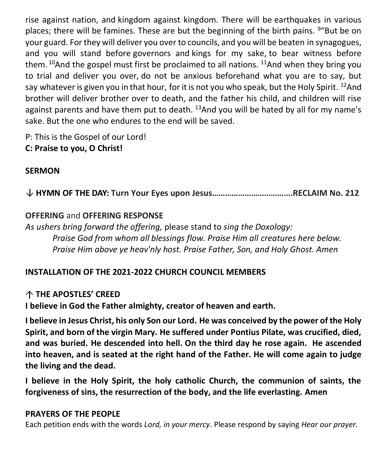rise against nation, and kingdom against kingdom. There will be earthquakes in various places; there will be famines. These are but the beginning of the birth pains. <sup>9</sup> "But be on your guard. For they will deliver you over to councils, and you will be beaten in synagogues, and you will stand before governors and kings for my sake, to bear witness before them.  $10$ And the gospel must first be proclaimed to all nations.  $11$ And when they bring you to trial and deliver you over, do not be anxious beforehand what you are to say, but say whatever is given you in that hour, for it is not you who speak, but the Holy Spirit. <sup>12</sup>And brother will deliver brother over to death, and the father his child, and children will rise against parents and have them put to death.  $13$ And you will be hated by all for my name's sake. But the one who endures to the end will be saved.

P: This is the Gospel of our Lord!

# **C: Praise to you, O Christ!**

# **SERMON**

**HYMN OF THE DAY: Turn Your Eyes upon Jesus……………………………….RECLAIM No. 212**

# **OFFERING** and **OFFERING RESPONSE**

*As ushers bring forward the offering,* please stand to *sing the Doxology: Praise God from whom all blessings flow. Praise Him all creatures here below. Praise Him above ye heav'nly host. Praise Father, Son, and Holy Ghost. Amen*

# **INSTALLATION OF THE 2021-2022 CHURCH COUNCIL MEMBERS**

# **THE APOSTLES' CREED**

**I believe in God the Father almighty, creator of heaven and earth.**

**I believe in Jesus Christ, his only Son our Lord. He was conceived by the power of the Holy Spirit, and born of the virgin Mary. He suffered under Pontius Pilate, was crucified, died, and was buried. He descended into hell. On the third day he rose again. He ascended into heaven, and is seated at the right hand of the Father. He will come again to judge the living and the dead.**

**I believe in the Holy Spirit, the holy catholic Church, the communion of saints, the forgiveness of sins, the resurrection of the body, and the life everlasting. Amen**

# **PRAYERS OF THE PEOPLE**

Each petition ends with the words *Lord, in your mercy*. Please respond by saying *Hear our prayer.*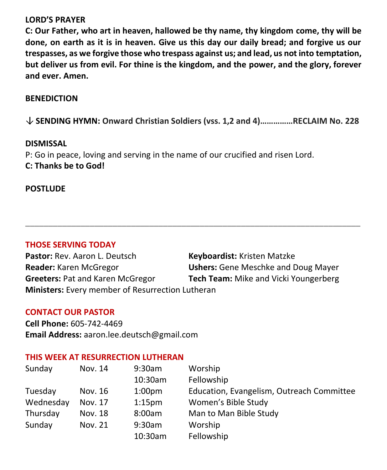#### **LORD'S PRAYER**

**C: Our Father, who art in heaven, hallowed be thy name, thy kingdom come, thy will be done, on earth as it is in heaven. Give us this day our daily bread; and forgive us our trespasses, as we forgive those who trespass against us; and lead, us not into temptation, but deliver us from evil. For thine is the kingdom, and the power, and the glory, forever and ever. Amen.**

#### **BENEDICTION**

**SENDING HYMN: Onward Christian Soldiers (vss. 1,2 and 4)……………RECLAIM No. 228**

#### **DISMISSAL**

P: Go in peace, loving and serving in the name of our crucified and risen Lord. **C: Thanks be to God!**

#### **POSTLUDE**

#### **THOSE SERVING TODAY**

Pastor: Rev. Aaron L. Deutsch **Keyboardist:** Kristen Matzke **Reader:** Karen McGregor **Ushers:** Gene Meschke and Doug Mayer **Greeters:** Pat and Karen McGregor **Tech Team:** Mike and Vicki Youngerberg **Ministers:** Every member of Resurrection Lutheran

**\_\_\_\_\_\_\_\_\_\_\_\_\_\_\_\_\_\_\_\_\_\_\_\_\_\_\_\_\_\_\_\_\_\_\_\_\_\_\_\_\_\_\_\_\_\_\_\_\_\_\_\_\_\_\_\_\_\_\_\_\_\_\_\_\_\_\_\_\_\_\_\_\_**

#### **CONTACT OUR PASTOR**

**Cell Phone:** 605-742-4469 **Email Address:** [aaron.lee.deutsch@gmail.com](mailto:aaron.lee.deutsch@gmail.com)

#### **THIS WEEK AT RESURRECTION LUTHERAN**

| Sunday    | Nov. 14 | 9:30am             | Worship                                   |
|-----------|---------|--------------------|-------------------------------------------|
|           |         | 10:30am            | Fellowship                                |
| Tuesday   | Nov. 16 | 1:00 <sub>pm</sub> | Education, Evangelism, Outreach Committee |
| Wednesday | Nov. 17 | 1:15 <sub>pm</sub> | Women's Bible Study                       |
| Thursday  | Nov. 18 | 8:00am             | Man to Man Bible Study                    |
| Sunday    | Nov. 21 | 9:30am             | Worship                                   |
|           |         | 10:30am            | Fellowship                                |